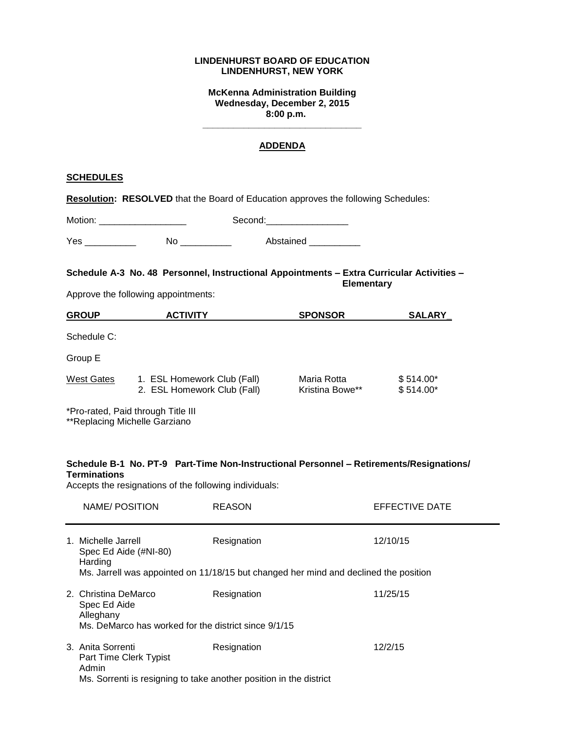### **LINDENHURST BOARD OF EDUCATION LINDENHURST, NEW YORK**

**McKenna Administration Building Wednesday, December 2, 2015 8:00 p.m.**

#### **ADDENDA**

**\_\_\_\_\_\_\_\_\_\_\_\_\_\_\_\_\_\_\_\_\_\_\_\_\_\_\_\_\_\_\_**

## **SCHEDULES**

**Resolution: RESOLVED** that the Board of Education approves the following Schedules:

| Motion: |    | Second:   |  |  |
|---------|----|-----------|--|--|
| Yes     | No | Abstained |  |  |

**Schedule A-3 No. 48 Personnel, Instructional Appointments – Extra Curricular Activities – Elementary**

Approve the following appointments:

| <b>GROUP</b> | <b>ACTIVITY</b>                                            | <b>SPONSOR</b>                 | <b>SALARY</b>            |  |
|--------------|------------------------------------------------------------|--------------------------------|--------------------------|--|
| Schedule C:  |                                                            |                                |                          |  |
| Group E      |                                                            |                                |                          |  |
| West Gates   | 1. ESL Homework Club (Fall)<br>2. ESL Homework Club (Fall) | Maria Rotta<br>Kristina Bowe** | $$514.00*$<br>$$514.00*$ |  |
|              | *Pro-rated, Paid through Title III                         |                                |                          |  |

\*\*Replacing Michelle Garziano

## **Schedule B-1 No. PT-9 Part-Time Non-Instructional Personnel – Retirements/Resignations/ Terminations**

Accepts the resignations of the following individuals:

|  | NAME/POSITION                                                                                                              | <b>REASON</b> | EFFECTIVE DATE |  |  |
|--|----------------------------------------------------------------------------------------------------------------------------|---------------|----------------|--|--|
|  | 1. Michelle Jarrell<br>Spec Ed Aide (#NI-80)<br>Harding                                                                    | Resignation   | 12/10/15       |  |  |
|  | Ms. Jarrell was appointed on 11/18/15 but changed her mind and declined the position                                       |               |                |  |  |
|  | 2. Christina DeMarco<br>Spec Ed Aide<br>Alleghany                                                                          | Resignation   | 11/25/15       |  |  |
|  | Ms. DeMarco has worked for the district since 9/1/15                                                                       |               |                |  |  |
|  | 3. Anita Sorrenti<br>Part Time Clerk Typist<br>Admin<br>Ms. Sorrenti is resigning to take another position in the district | Resignation   | 12/2/15        |  |  |
|  |                                                                                                                            |               |                |  |  |